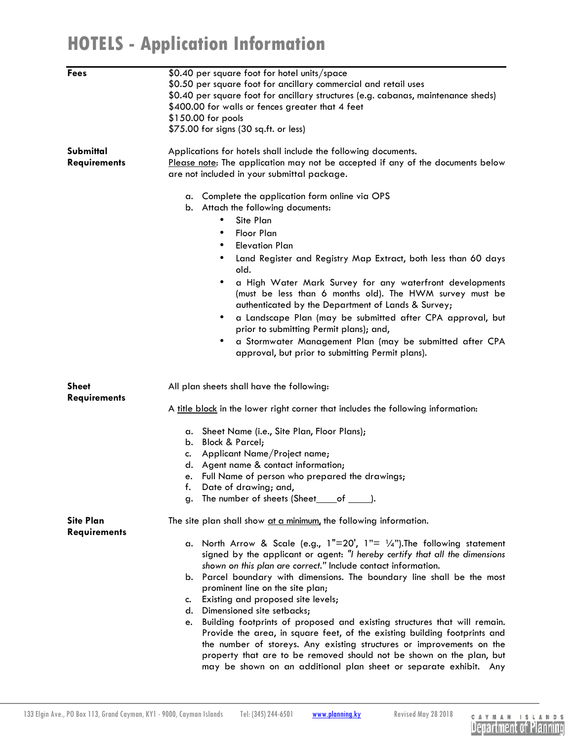## **HOTELS - Application Information**

| <b>Fees</b>                             | \$0.40 per square foot for hotel units/space<br>\$0.50 per square foot for ancillary commercial and retail uses<br>\$0.40 per square foot for ancillary structures (e.g. cabanas, maintenance sheds)<br>\$400.00 for walls or fences greater that 4 feet<br>\$150.00 for pools<br>\$75.00 for signs (30 sq.ft. or less) |
|-----------------------------------------|-------------------------------------------------------------------------------------------------------------------------------------------------------------------------------------------------------------------------------------------------------------------------------------------------------------------------|
| Submittal<br><b>Requirements</b>        | Applications for hotels shall include the following documents.<br>Please note: The application may not be accepted if any of the documents below<br>are not included in your submittal package.                                                                                                                         |
|                                         | Complete the application form online via OPS<br>а.<br>Attach the following documents:<br>b.                                                                                                                                                                                                                             |
|                                         | Site Plan<br>$\bullet$                                                                                                                                                                                                                                                                                                  |
|                                         | Floor Plan<br>$\bullet$                                                                                                                                                                                                                                                                                                 |
|                                         | <b>Elevation Plan</b><br>$\bullet$                                                                                                                                                                                                                                                                                      |
|                                         | Land Register and Registry Map Extract, both less than 60 days<br>old.                                                                                                                                                                                                                                                  |
|                                         | a High Water Mark Survey for any waterfront developments<br>(must be less than 6 months old). The HWM survey must be<br>authenticated by the Department of Lands & Survey;                                                                                                                                              |
|                                         | a Landscape Plan (may be submitted after CPA approval, but<br>prior to submitting Permit plans); and,                                                                                                                                                                                                                   |
|                                         | a Stormwater Management Plan (may be submitted after CPA<br>approval, but prior to submitting Permit plans).                                                                                                                                                                                                            |
| <b>Sheet</b><br><b>Requirements</b>     | All plan sheets shall have the following:                                                                                                                                                                                                                                                                               |
|                                         | A title block in the lower right corner that includes the following information:                                                                                                                                                                                                                                        |
|                                         | Sheet Name (i.e., Site Plan, Floor Plans);<br>а.                                                                                                                                                                                                                                                                        |
|                                         | <b>Block &amp; Parcel;</b><br>b.                                                                                                                                                                                                                                                                                        |
|                                         | Applicant Name/Project name;<br>c.<br>d. Agent name & contact information;                                                                                                                                                                                                                                              |
|                                         | Full Name of person who prepared the drawings;<br>e.                                                                                                                                                                                                                                                                    |
|                                         | Date of drawing; and,<br>f.                                                                                                                                                                                                                                                                                             |
|                                         | The number of sheets (Sheet_of ______).<br>g.                                                                                                                                                                                                                                                                           |
| <b>Site Plan</b><br><b>Requirements</b> | The site plan shall show at a minimum, the following information.                                                                                                                                                                                                                                                       |
|                                         | a. North Arrow & Scale (e.g., $1"=20'$ , $1"= \frac{1}{4}$ ). The following statement                                                                                                                                                                                                                                   |
|                                         | signed by the applicant or agent: "I hereby certify that all the dimensions                                                                                                                                                                                                                                             |
|                                         | shown on this plan are correct." Include contact information.<br>b. Parcel boundary with dimensions. The boundary line shall be the most                                                                                                                                                                                |
|                                         | prominent line on the site plan;                                                                                                                                                                                                                                                                                        |
|                                         | Existing and proposed site levels;<br>c.                                                                                                                                                                                                                                                                                |
|                                         | Dimensioned site setbacks;<br>d.                                                                                                                                                                                                                                                                                        |
|                                         | Building footprints of proposed and existing structures that will remain.<br>e.                                                                                                                                                                                                                                         |
|                                         | Provide the area, in square feet, of the existing building footprints and                                                                                                                                                                                                                                               |
|                                         | the number of storeys. Any existing structures or improvements on the<br>property that are to be removed should not be shown on the plan, but                                                                                                                                                                           |
|                                         | may be shown on an additional plan sheet or separate exhibit. Any                                                                                                                                                                                                                                                       |